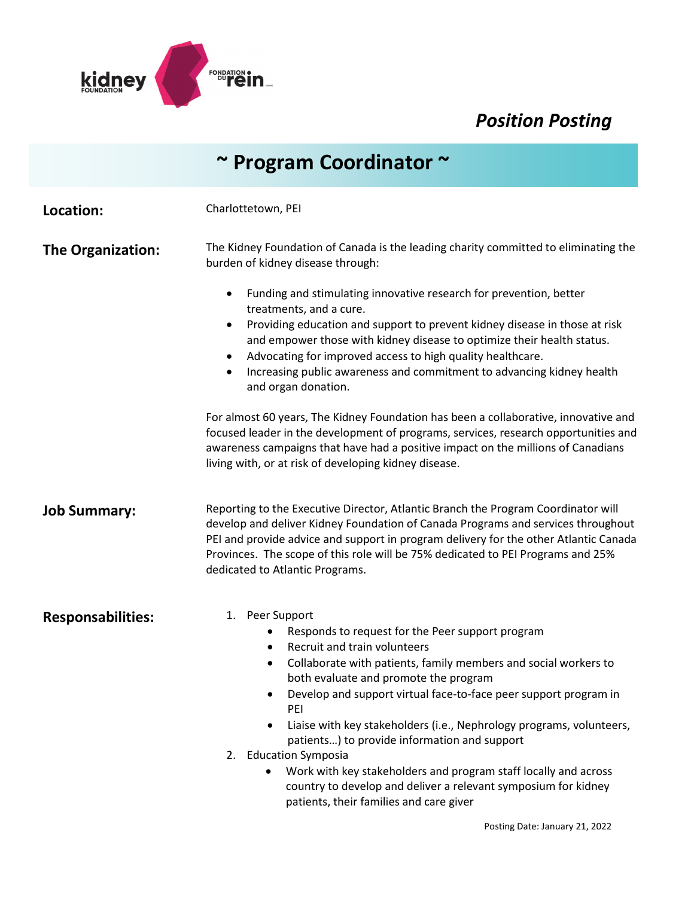

## *Position Posting*

|                          | $\sim$ Program Coordinator $\sim$                                                                                                                                                                                                                                                                                                                                                                                                                                                                                                                                                                                                                                                                                                                                                                                                                                                            |
|--------------------------|----------------------------------------------------------------------------------------------------------------------------------------------------------------------------------------------------------------------------------------------------------------------------------------------------------------------------------------------------------------------------------------------------------------------------------------------------------------------------------------------------------------------------------------------------------------------------------------------------------------------------------------------------------------------------------------------------------------------------------------------------------------------------------------------------------------------------------------------------------------------------------------------|
| Location:                | Charlottetown, PEI                                                                                                                                                                                                                                                                                                                                                                                                                                                                                                                                                                                                                                                                                                                                                                                                                                                                           |
| <b>The Organization:</b> | The Kidney Foundation of Canada is the leading charity committed to eliminating the<br>burden of kidney disease through:<br>Funding and stimulating innovative research for prevention, better<br>$\bullet$<br>treatments, and a cure.<br>Providing education and support to prevent kidney disease in those at risk<br>٠<br>and empower those with kidney disease to optimize their health status.<br>Advocating for improved access to high quality healthcare.<br>Increasing public awareness and commitment to advancing kidney health<br>and organ donation.<br>For almost 60 years, The Kidney Foundation has been a collaborative, innovative and<br>focused leader in the development of programs, services, research opportunities and<br>awareness campaigns that have had a positive impact on the millions of Canadians<br>living with, or at risk of developing kidney disease. |
| <b>Job Summary:</b>      | Reporting to the Executive Director, Atlantic Branch the Program Coordinator will<br>develop and deliver Kidney Foundation of Canada Programs and services throughout<br>PEI and provide advice and support in program delivery for the other Atlantic Canada<br>Provinces. The scope of this role will be 75% dedicated to PEI Programs and 25%<br>dedicated to Atlantic Programs.                                                                                                                                                                                                                                                                                                                                                                                                                                                                                                          |
| <b>Responsabilities:</b> | 1. Peer Support<br>Responds to request for the Peer support program<br>Recruit and train volunteers<br>Collaborate with patients, family members and social workers to<br>both evaluate and promote the program<br>Develop and support virtual face-to-face peer support program in<br>$\bullet$<br>PEI<br>Liaise with key stakeholders (i.e., Nephrology programs, volunteers,<br>patients) to provide information and support<br>2. Education Symposia<br>Work with key stakeholders and program staff locally and across<br>country to develop and deliver a relevant symposium for kidney<br>patients, their families and care giver                                                                                                                                                                                                                                                     |